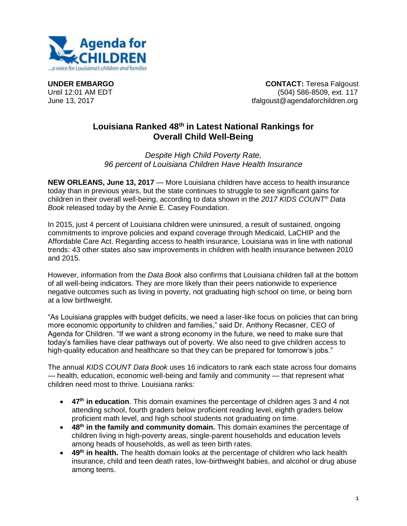

**UNDER EMBARGO CONTACT:** Teresa Falgoust Until 12:01 AM EDT (504) 586-8509, ext. 117 June 13, 2017 tfalgoust@agendaforchildren.org

## **Louisiana Ranked 48th in Latest National Rankings for Overall Child Well-Being**

*Despite High Child Poverty Rate, 96 percent of Louisiana Children Have Health Insurance*

**NEW ORLEANS, June 13, 2017** — More Louisiana children have access to health insurance today than in previous years, but the state continues to struggle to see significant gains for children in their overall well-being, according to data shown in the *2017 KIDS COUNT® Data Book* released today by the Annie E. Casey Foundation.

In 2015, just 4 percent of Louisiana children were uninsured, a result of sustained, ongoing commitments to improve policies and expand coverage through Medicaid, LaCHIP and the Affordable Care Act. Regarding access to health insurance, Louisiana was in line with national trends: 43 other states also saw improvements in children with health insurance between 2010 and 2015.

However, information from the *Data Book* also confirms that Louisiana children fall at the bottom of all well-being indicators. They are more likely than their peers nationwide to experience negative outcomes such as living in poverty, not graduating high school on time, or being born at a low birthweight.

"As Louisiana grapples with budget deficits, we need a laser-like focus on policies that can bring more economic opportunity to children and families," said Dr. Anthony Recasner, CEO of Agenda for Children. "If we want a strong economy in the future, we need to make sure that today's families have clear pathways out of poverty. We also need to give children access to high-quality education and healthcare so that they can be prepared for tomorrow's jobs."

The annual *KIDS COUNT Data Book* uses 16 indicators to rank each state across four domains — health, education, economic well-being and family and community — that represent what children need most to thrive. Louisiana ranks:

- **47th in education**. This domain examines the percentage of children ages 3 and 4 not attending school, fourth graders below proficient reading level, eighth graders below proficient math level, and high school students not graduating on time.
- **48th in the family and community domain.** This domain examines the percentage of children living in high-poverty areas, single-parent households and education levels among heads of households, as well as teen birth rates.
- **49th in health.** The health domain looks at the percentage of children who lack health insurance, child and teen death rates, low-birthweight babies, and alcohol or drug abuse among teens.